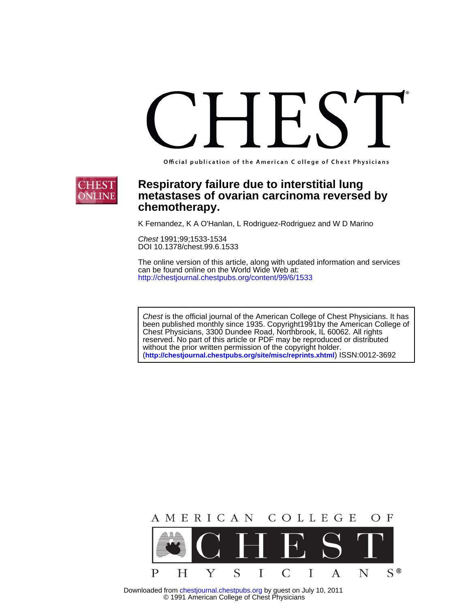Official publication of the American C ollege of Chest Physicians



# **chemotherapy. metastases of ovarian carcinoma reversed by Respiratory failure due to interstitial lung**

K Fernandez, K A O'Hanlan, L Rodriguez-Rodriguez and W D Marino

DOI 10.1378/chest.99.6.1533 Chest 1991;99;1533-1534

http://chestjournal.chestpubs.org/content/99/6/1533 can be found online on the World Wide Web at: The online version of this article, along with updated information and services

(**http://chestjournal.chestpubs.org/site/misc/reprints.xhtml**) ISSN:0012-3692 without the prior written permission of the copyright holder. reserved. No part of this article or PDF may be reproduced or distributed Chest Physicians, 3300 Dundee Road, Northbrook, IL 60062. All rights been published monthly since 1935. Copyright1991by the American College of Chest is the official journal of the American College of Chest Physicians. It has



 © 1991 American College of Chest Physicians Downloaded from chestjournal.chestpubs.org by guest on July 10, 2011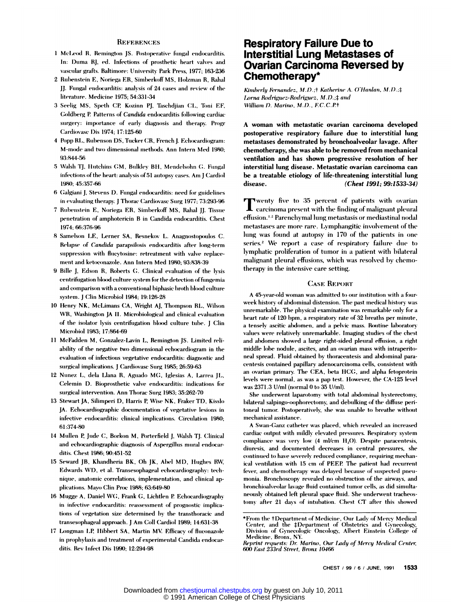#### **REFERENCES**

- 1 McLeod R. Remington IS. Postoperative fungal endocarditis. In: Duma RJ, ed. Infections of prosthetic heart valves and vascular grafts. Baltimore: University Park Press, 1977; 163-236
- 2 Rubenstein E, Noriega ER, Simberkoff MS, Holzman R, Rahal JJ. Fungal endocarditis: analysis of 24 cases and review of the literature. Medicine 1975; 54:331-34
- 3 Seelig MS, Speth CP, Kozinn PJ, Taschdjian CL, Toni EF, Goldberg P. Patterns of Candida endocarditis following cardiac surgery: importance of early diagnosis and therapy. Progr Cardiovase Dis 1974; 17:125-60
- 4 Popp RL, Rubenson DS, Tucker CR, French J. Echocardiogram: M-mode and two dimensional methods. Ann Intern Med 1980; 93.844-56
- 5 Walsh TJ, Hutchins GM, Bulkley BH, Mendelsohn G. Fungal infections of the heart: analysis of 51 autopsy cases. Am I Cardiol 1980: 45:357-66
- 6 Galgiani J, Stevens D. Fungal endocarditis: need for guidelines in evaluating therapy. J Thorac Cardiovasc Surg 1977; 73:293-96
- 7 Rubenstein E, Noriega ER, Simberkoff MS, Rahal JJ. Tissue penetration of amphotericin B in Candida endocarditis. Chest 1974 66:376-96
- 8 Samelson LE, Lerner SA, Resnekov L. Anagnostopoulos C. Relapse of Candida parapsilosis endocarditis after long-term suppression with flucytosine: retreatment with valve replacement and ketoconazole. Ann Intern Med 1980; 93:838-39
- 9 Bille J, Edson R, Roberts G. Clinical evaluation of the lysis centrifugation blood culture system for the detection of fungemia and comparison with a conventional biphasic broth blood culture system. J Clin Microbiol 1984; 19:126-28
- 10 Henry NK, McLimans CA, Wright AJ, Thompson RL, Wilson WR, Washington JA II. Microbiological and clinical evaluation of the isolator lysis centrifugation blood culture tube. J Clin Microbiol 1983: 17:864-69
- 11 McFadden M, Gonzalez-Lavin L, Remington JS. Limited reliability of the negative two dimensional echocardiogram in the evaluation of infectious vegetative endocarditis: diagnostic and surgical implications. J Cardiovasc Surg 1985; 26:59-63
- 12 Nunez L, dela Llana R, Aguado MG, Iglesias A, Larrea JL, Celemin D. Bioprosthetic valve endocarditis: indications for surgical intervention. Ann Thorac Surg 1983; 35:262-70
- 13 Stewart JA, Silimperi D, Harris P, Wise NK, Fraker TD, Kisslo JA. Echocardiographic documentation of vegetative lesions in infective endocarditis: clinical implications. Circulation 1980; 61:374-80
- 14 Mullen P, Jude C, Borkon M, Porterfield J, Walsh TJ. Clinical and echocardiographic diagnosis of Aspergillus mural endocarditis. Chest 1986; 90:451-52
- 15 Seward JB, Khandheria BK, Oh JK, Abel MD, Hughes RW, Edwards WD, et al. Transesophageal echocardiography: technique, anatomic correlations, implementation, and clinical applications. Mayo Clin Proc 1988; 63:649-80
- 16 Mugge A, Daniel WG, Frank G, Lichtlen P. Echocardiography in infective endocarditis: reassessment of prognostic implications of vegetation size determined by the transthoracic and transesophageal approach. J Am Coll Cardiol 1989; 14:631-38
- 17 Longman LP, Hibbert SA, Martin MV. Efficacy of fluconazole in prophylaxis and treatment of experimental Candida endocarditis. Rev Infect Dis 1990; 12:294-98

# **Respiratory Failure Due to** Interstitial Lung Metastases of **Ovarian Carcinoma Reversed by** Chemotherapy\*

Kimberly Fernandez, M.D.;† Katherine A. O'Hanlan, M.D.;‡ Lorna Rodriguez-Rodriguez, M.D.;# and William D. Marino, M.D., F.C.C.P.+

A woman with metastatic ovarian carcinoma developed postoperative respiratory failure due to interstitial lung metastases demonstrated by bronchoalveolar lavage. After chemotherapy, she was able to be removed from mechanical ventilation and has shown progressive resolution of her interstitial lung disease. Metastatic ovarian carcinoma can be a treatable etiology of life-threatening interstitial lung disease. (Chest 1991; 99:1533-34)

wenty five to 35 percent of patients with ovarian carcinoma present with the finding of malignant pleural effusion.<sup>1,2</sup> Parenchymal lung metastasis or mediastinal nodal metastases are more rare. Lymphangitic involvement of the lung was found at autopsy in 170 of the patients in one series.<sup>2</sup> We report a case of respiratory failure due to lymphatic proliferation of tumor in a patient with bilateral malignant pleural effusions, which was resolved by chemotherapy in the intensive care setting.

#### **CASE REPORT**

A 45-year-old woman was admitted to our institution with a fourweek history of abdominal distension. The past medical history was unremarkable. The physical examination was remarkable only for a heart rate of 120 bpm, a respiratory rate of 32 breaths per minute, a tensely ascitic abdomen, and a pelvic mass. Routine laboratory values were relatively unremarkable. Imaging studies of the chest and abdomen showed a large right-sided pleural effusion, a right middle lobe nodule, ascites, and an ovarian mass with intraperitoneal spread. Fluid obtained by thoracentesis and abdominal paracentesis contained papillary adenocarcinoma cells, consistent with an ovarian primary. The CEA, beta HCG, and alpha fetoprotein levels were normal, as was a pap test. However, the CA-125 level was 2371.3 U/ml (normal 0 to 35 U/ml).

She underwent laparotomy with total abdominal hysterectomy, bilateral salpingo-oophorectomy, and debulking of the diffuse peritoneal tumor. Postoperatively, she was unable to breathe without mechanical assistance.

A Swan-Ganz catheter was placed, which revealed an increased eardiac output with mildly elevated pressures. Respiratory system compliance was very low (4 ml/cm H<sub>2</sub>O). Despite paracentesis, diuresis, and documented decreases in central pressures, she continued to have severely reduced compliance, requiring mechanical ventilation with 15 cm of PEEP. The patient had recurrent fever, and chemotherapy was delayed because of suspected pneumonia. Bronchoscopy revealed no obstruction of the airways, and bronchioalveolar lavage fluid contained tumor cells, as did simultaneously obtained left pleural space fluid. She underwent tracheostomy after 21 days of intubation. Chest CT after this showed

<sup>\*</sup>From the †Department of Medicine, Our Lady of Mercy Medical Center, and the ‡Department of Obstetrics and Gynecology, Division of Gynecologic Oncology, Albert Einstein College of Medicine, Bronx, NY.

Reprint requests: Dr. Marino, Our Lady of Mercy Medical Center, 600 East 233rd Street, Bronx 10466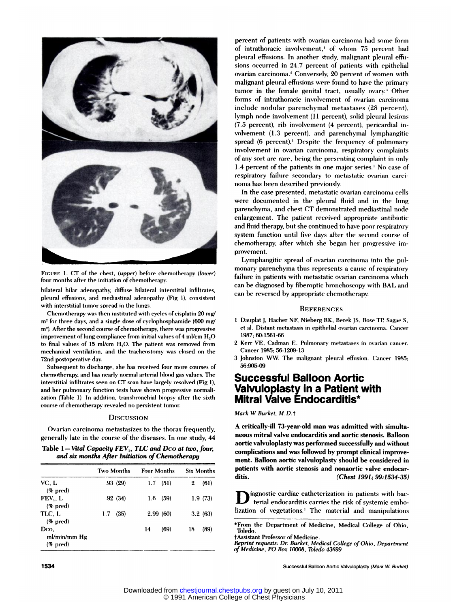

**FIGUBE 1. CT of the chest, (upper) before chemotherapy (lower** four months after the initiation of chemotherapy.<br>bilateral hilar adenopathy, diffuse bilateral interstitial infiltrates<br>pleural effusions, and mediastinal ad

FIGURE 1. CT of the chest, *(upper)* before chemotherapy *(lower)*<br>four months after the initiation of chemotherapy.<br>bilateral hilar adenopathy, diffuse bilateral interstitial infiltrates,<br>pleural effusions, and mediastina

pleural effusions, and mediastinal adenopathy (Fig 1), consistent<br>with interstitial tumor spread in the lungs.<br>Chemotherapy was then instituted with cycles of cisplatin 20 mg/<br>m<sup>2</sup> for three days, and a single dose of cycl Chemotherapy was then instituted with cycles of cisplatin 20 mg/<br>
m<sup>2</sup> for three days, and a single dose of cyclophosphamide (600 mg/<br>
m<sup>2</sup>). After the second course of chemotherapy, there was progressive<br>
improvement of of three days, and a single dose of cyclophosphamide (600 mg/<br>m<sup>2</sup> for three days, and a single dose of cyclophosphamide (600 mg/<br>m<sup>2</sup>). After the second course of chemotherapy, there was progressive<br>improvement of lung c improvement of lung compliance from initial values of 4 ml/cm H<sub>2</sub>O<br>to final values of 15 ml/cm H<sub>2</sub>O. The patient was removed from<br>mechanical ventilation, and the tracheostomy was closed on the<br>72nd postoperative day.<br>Su

interstitution with the interstitution, the concept of the particle day.<br>The postoperative day.<br>Subsequent to discharge, she has received four more courses of<br>chemotherapy, and has nearly normal arterial blood gas values. **Exhibited tests have sharpled in the symple of the motherapy, and has nearly normal arterial blood gas values. The interstitial infiltrates seen on CT scan have largely resolved (Fig 1), and her pulmonary function tests h** concursed inflattates seen on CT scan have largely rest<br>and her pulmonary function tests have shown progress<br>and her pulmonary function tests have shown progress<br>cation (Table 1). In addition, transbronchial biopsy af<br>cour

Interest of chemotherapy revealed no persistent tumor.<br>DISCUSSION<br>Ovarian carcinoma metastasizes to the thorax frequently, and the course of the diseases. In one study, 4 **generally late in the course of the diseases. In one study, 44**<br>Table 1-Vital *Capacity FEV*<sub>1</sub>, *TLC and Dco at two, four,*<br>and six months After Initiation of Chemotherapy

| Table $1 -$ Vital Capacity $FEV_1$ , TLC and Dco at two, four |  |  |
|---------------------------------------------------------------|--|--|
| and six months After Initiation of Chemotherapy               |  |  |

| Ovarian carcinoma metastasizes to the thorax frequently,<br>generally late in the course of the diseases. In one study, 44<br>Table 1—Vital Capacity $FEV_1$ , TLC and Dco at two, four, |             |                                                                       |                   |  |  |
|------------------------------------------------------------------------------------------------------------------------------------------------------------------------------------------|-------------|-----------------------------------------------------------------------|-------------------|--|--|
|                                                                                                                                                                                          | Two Months  | and six months After Initiation of Chemotherapy<br><b>Four Months</b> | <b>Six Months</b> |  |  |
| VC. L<br>$(\%$ pred)                                                                                                                                                                     | .93(29)     | $1.7$ (51)                                                            | (61)<br>2         |  |  |
| FEV. L<br>$(\%$ pred)                                                                                                                                                                    | .92(34)     | (59)<br>1.6                                                           | 1.9(73)           |  |  |
| TLC, L<br>$(\%$ pred)                                                                                                                                                                    | (35)<br>1.7 | 2.99(60)                                                              | 3.2(63)           |  |  |
| Dco,<br>ml/min/mm Hg<br>$(\%$ pred)                                                                                                                                                      |             | (69)<br>14                                                            | 18<br>(89)        |  |  |

percent of patients with ovarian carcinoma had some form<br>of intrathoracic involvement,' of whom 75 percent had of intrathoracic involvement,' of whom 75 percent had<br>pleural effusions. In another study, malignant pleural effu-<br>sions occurred in 24.7 percent of patients with epithelial percent of patients with ovarian carcinoma had some form<br>of intrathoracic involvement,' of whom 75 percent ha<br>pleural effusions. In another study, malignant pleural effi<br>sions occurred in 24.7 percent of patients with epit percent of patients with ovarian carcinoma had some forr<br>of intrathoracic involvement,' of whom 75 percent has<br>pleural effusions. In another study, malignant pleural effu<br>sions occurred in 24.7 percent of patients with epi of intrathoracic involvement,<sup>1</sup> of whom 75 percent had pleural effusions. In another study, malignant pleural effusions occurred in 24.7 percent of patients with epithelial ovarian carcinoma.<sup>2</sup> Conversely, 20 percent of sions occurred in 24.7 percent of patients with epithelial ovarian carcinoma.<sup>2</sup> Conversely, 20 percent of women with malignant pleural effusions were found to have the primary tumor in the female genital tract, usually o ovarian carcinoma.<sup>2</sup> Conversely, 20 percent of women with malignant pleural effusions were found to have the primary tumor in the female genital tract, usually ovary.<sup>3</sup> Other forms of intrathoracic involvement of ovarian malignant pleural effusions were found to have the primary<br>
tumor in the female genital tract, usually ovary.<sup>3</sup> Other<br>
forms of intrathoracic involvement of ovarian carcinoma<br>
include nodular parenchymal metastases (28 pe forms of intrathoracic involvement of ovarian carcinoma<br>
include nodular parenchymal metastases (28 percent),<br>
lymph node involvement (11 percent), solid pleural lesions<br>
(7.5 percent), rib involvement (4 percent), pericar include nodular parenchymal metastases (28 percent), lymph node involvement (11 percent), solid pleural lesions<br>(7.5 percent), rib involvement (4 percent), pericardial involvement (1.3 percent), and parenchymal lymphangiti lymph node involvement (11 percent), solid pleural lesions (7.5 percent), rib involvement (4 percent), pericardial involvement (1.3 percent), and parenchymal lymphangitic spread (6 percent).<sup>1</sup> Despite the frequency of pul (7.5 percent), rib involvement (4 percent), pericardial involvement (1.3 percent), and parenchymal lymphangitic<br>spread (6 percent).<sup>1</sup> Despite the frequency of pulmonary<br>involvement in ovarian carcinoma, respiratory compla (1.3 percent), The involvement (4 percent), pericardia in-<br>volvement (1.3 percent), and parenchymal lymphangitic<br>spread (6 percent).<sup>1</sup> Despite the frequency of pulmonary<br>involvement in ovarian carcinoma, respiratory compl spread (6 percent).<sup>1</sup> Despite the frequency of pulmonary<br>involvement in ovarian carcinoma, respiratory complaints<br>of any sort are rare, being the presenting complaint in only<br>1.4 percent of the patients in one major serie involvement in ovarian carcinoma, respiratory complain<br>of any sort are rare, being the presenting complaint in or<br>1.4 percent of the patients in one major series.<sup>1</sup> No case<br>respiratory failure secondary to metastatic ovar of any sort are rare, being the presenting complaint in only<br>
1.4 percent of the patients in one major series.<sup>1</sup> No case of<br>
respiratory failure secondary to metastatic ovarian carci-<br>
noma has been described previously.<br>

respiratory failure secondary to metastatic ovarian carcinoma has been described previously.<br>In the case presented, metastatic ovarian carcinoma cells<br>were documented in the pleural fluid and in the lung<br>parenchyma, and ch respiratory rainire secondary to metastatic ovarian carci-<br>noma has been described previously.<br>In the case presented, metastatic ovarian carcinoma cells<br>were documented in the pleural fluid and in the lung<br>parenchyma, and In the case presented, metastatic ovarian carcinoma cells<br>were documented in the pleural fluid and in the lung<br>parenchyma, and chest CT demonstrated mediastinal node<br>enlargement. The patient received appropriate antibiotic parenchyma, and chest CT demonstrated mediastinal node<br>enlargement. The patient received appropriate antibiotic<br>and fluid therapy, but she continued to have poor respiratory<br>system function until five days after the second enlargement. The patient received appropriate antibiotic<br>and fluid therapy, but she continued to have poor respiratory<br>system function until five days after the second course of<br>chemotherapy, after which she began her prog provement. and fluid therapy, but she continued to have poor respiratory<br>system function until five days after the second course of<br>chemotherapy, after which she began her progressive im-<br>provement.<br>Lymphangitic spread of ovarian car

chemotherapy, after which she began her progressive im-<br>provement.<br>Lymphangitic spread of ovarian carcinoma into the pul-<br>monary parenchyma thus represents a cause of respiratory<br>failure in patients with metastatic ovarian Failure in progressive improvement.<br> **Lymphangitic spread of ovarian carcinoma into the pulmonary parenchyma thus represents a cause of respiratory**<br> **failure in patients with metastatic ovarian carcinoma which**<br>
can be di Lymphangitic spread of ovarian carcinoma into the pul-<br>monary parenchyma thus represents a cause of respiratory<br>failure in patients with metastatic ovarian carcinoma which<br>can be diagnosed by fiberoptic bronchoscopy with B

# **REFERENCES**

- 1 Dauplat J, Hacher NF, Nieberg RK, Berek JS, Rose TP, Sagae S,<br>**1 Dauplat J, Hacher NF, Nieberg RK, Berek JS, Rose TP, Sagae S,**<br>et al. Distant metastasis in epithelial ovarian carcinoma. Cancer **et al. Distant Metastant metastasis in epithelial ovariant metastasis in epithelial ovarian carcinoma. Cancerry 1987; 60:1561-66** 1987; 60:1561-66 2 Dauplat J, Hacher NF, Nieberg RK, Berek JS, Rose TP, Sagae S,<br>et al. Distant metastasis in epithelial ovarian carcinoma. Cancer<br>1987; 60:1561-66<br>2 Kerr VE, Cadman E. Pulmonary metastases in ovarian cancer.<br>Cancer 1985; 5 1 Dauplat J. Hacher NF. Nieberg RK, Berek JS, Rose TP, Sagae<br>et al. Distant metastasis in epithelial ovarian carcinoma. Can-<br>1987; 60:1561-66<br>2 Kerr VE, Cadman E. Pulmonary metastases in ovarian cano<br>Cancer 1985; 56:1209-1
- 
- 1987; 60:1561-66<br>
2 Kerr VE, Cadman E. Pulmonary metastases in ovarian cancer.<br>
Cancer 1985; 56:1209-13<br>
3 Johnston WW. The malignant pleural effusion. Cancer 1985;<br>
56:905-09 56:905-09

# et al. Distant metastasis in epithelial ovarian carcinoma. Cancer 1987; 60:1561-66<br>
2 Kerr VE, Cadman E. Pulmonary metastases in ovarian cancer.<br>
Cancer 1985; 56:1209-13<br>
3 Johnston WW. The malignant pleural effusion. Canc 1987; 60:1561-66<br>
2 Kerr VE, Cadman E. Pulmonary metastases in ova<br>
Cancer 1985; 56:1209-13<br>
3 Johnston WW. The malignant pleural effusion. C<br> **S6:905-09**<br> **Successful Balloon Aortic<br>
Valvuloplasty in a Patient with<br>
Mitra**

Varvuloplasty in a ratient with<br>Mitral Valve Endocarditis\*<br>Mark W. Burket, M.D.†<br>A critically-ill 73-year-old man was admitted with simul<br>neous mitral valve endocarditis and aortic stenosis. Ballo **MITTAI VAIVE ENDOCATOITIS"**<br>
Mark W. Burket, M.D.†<br>
A critically-ill 73-year-old man was admitted with simulta-<br>
neous mitral valve endocarditis and aortic stenosis. Balloon<br>
aortic valvuloplasty was performed successfull Mark W. Burket, M.D.†<br>A critically-ill 73-year-old man was admitted with simulta-<br>neous mitral valve endocarditis and aortic stenosis. Balloon<br>aortic valvuloplasty was performed successfully and without<br>complications and w A critically-ill 73-year-old man was admitted with simulneous mitral valve endocarditis and aortic stenosis. Balle<br>aortic valvuloplasty was performed successfully and with<br>complications and was followed by prompt clinical A critically-ill 73-year-old man was admitted with simultaneous mitral valve endocarditis and aortic stenosis. Balloon aortic valvuloplasty was performed successfully and without complications and was followed by prompt cl neous mitral valve endocarditis and aortic stenosis. Balloon<br>aortic valvuloplasty was performed successfully and without<br>complications and was followed by prompt clinical improve-<br>ment. Balloon aortic valvuloplasty should ment. Balloon aortic valvuloplasty should be considered in

iagnostic cardiac catheterization in patients with bacpatients with aortic stenosis and nonaortic valve endocarditis.<br>
(Chest 1991; 99:1534-3)<br>
Il ignostic cardiac catheterization in patients with ba<br>
lization of vegetations.<sup>1</sup> The material and manipulation **Examples 12**<br> **Example 12**<br> **Example 20**<br> **Example 20**<br> **Example 20**<br> **Example 20**<br> **Example 20**<br> **Example 20**<br> **Example 20**<br> **Example 20**<br> **Example 20**<br> **Example 20**<br> **College of Ohio,**<br> **Toledo.** 

lization of vegetations.<sup>1</sup> The material and manipulation<br> **From the Department of Medicine.**<br> *Resistant Professor of Medicine.*<br> *Reprint requests: Dr. Burket, Medical College of Ohio, Department*<br> *of Medicine, PO Box 1 From the Department of Medicine, Medical Toledo.*<br> *Populary Professor of Medicine.*<br> *Reprint requests: Dr. Burket, Medical College of Medicine, PO Box 10008, Toledo 43699* 

1534 Reprint requests: Dr. Burket, Medical College of Ohio, Department<br>1534 Successful Balloon Aortic Valvuloplasty (Mark W. Burket)<br>1534 Successful Balloon Aortic Valvuloplasty (Mark W. Burket)